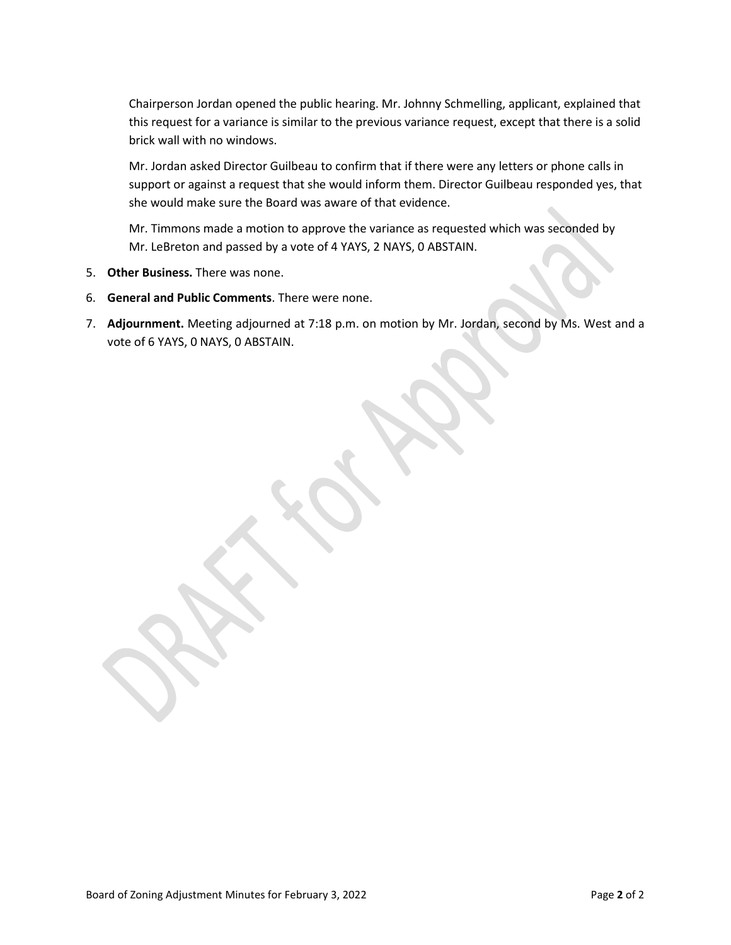Chairperson Jordan opened the public hearing. Mr. Johnny Schmelling, applicant, explained that this request for a variance is similar to the previous variance request, except that there is a solid brick wall with no windows.

Mr. Jordan asked Director Guilbeau to confirm that if there were any letters or phone calls in support or against a request that she would inform them. Director Guilbeau responded yes, that she would make sure the Board was aware of that evidence.

Mr. Timmons made a motion to approve the variance as requested which was seconded by Mr. LeBreton and passed by a vote of 4 YAYS, 2 NAYS, 0 ABSTAIN.

- 5. **Other Business.** There was none.
- 6. **General and Public Comments**. There were none.
- 7. **Adjournment.** Meeting adjourned at 7:18 p.m. on motion by Mr. Jordan, second by Ms. West and a vote of 6 YAYS, 0 NAYS, 0 ABSTAIN.